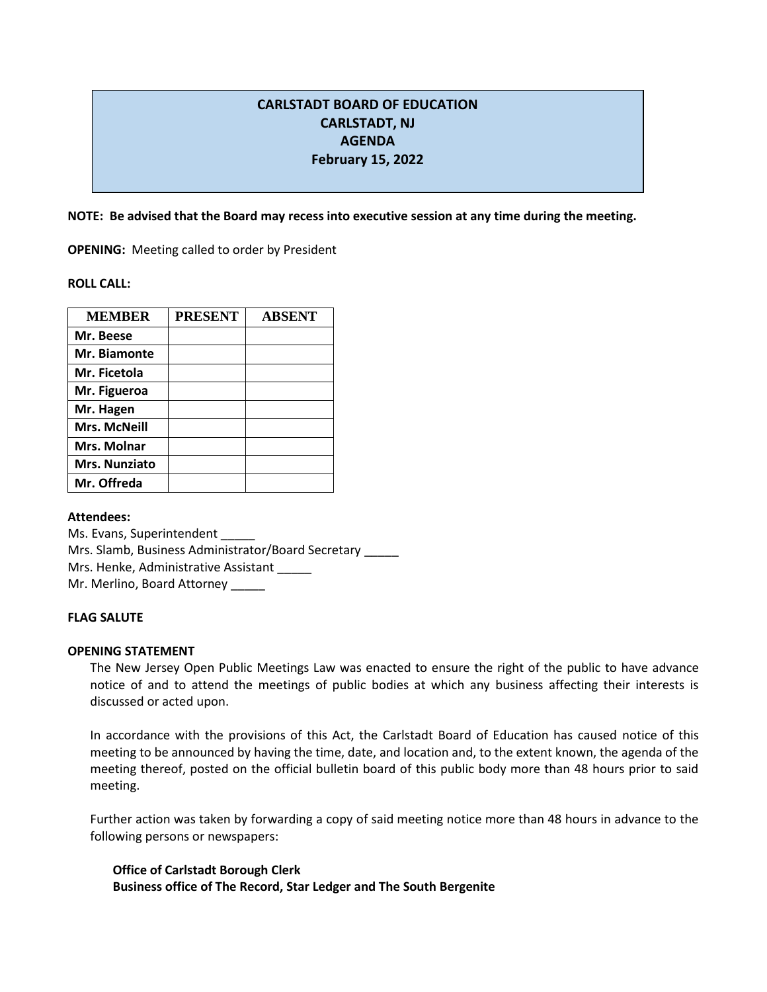# **CARLSTADT BOARD OF EDUCATION CARLSTADT, NJ AGENDA February 15, 2022**

**NOTE: Be advised that the Board may recess into executive session at any time during the meeting.**

**OPENING:** Meeting called to order by President

**ROLL CALL:** 

| <b>MEMBER</b>        | <b>PRESENT</b> | <b>ABSENT</b> |
|----------------------|----------------|---------------|
| Mr. Beese            |                |               |
| Mr. Biamonte         |                |               |
| Mr. Ficetola         |                |               |
| Mr. Figueroa         |                |               |
| Mr. Hagen            |                |               |
| <b>Mrs. McNeill</b>  |                |               |
| Mrs. Molnar          |                |               |
| <b>Mrs. Nunziato</b> |                |               |
| Mr. Offreda          |                |               |

**Attendees:**

Ms. Evans, Superintendent \_\_\_\_\_ Mrs. Slamb, Business Administrator/Board Secretary \_\_\_\_\_ Mrs. Henke, Administrative Assistant Mr. Merlino, Board Attorney

## **FLAG SALUTE**

## **OPENING STATEMENT**

The New Jersey Open Public Meetings Law was enacted to ensure the right of the public to have advance notice of and to attend the meetings of public bodies at which any business affecting their interests is discussed or acted upon.

In accordance with the provisions of this Act, the Carlstadt Board of Education has caused notice of this meeting to be announced by having the time, date, and location and, to the extent known, the agenda of the meeting thereof, posted on the official bulletin board of this public body more than 48 hours prior to said meeting.

Further action was taken by forwarding a copy of said meeting notice more than 48 hours in advance to the following persons or newspapers:

**Office of Carlstadt Borough Clerk Business office of The Record, Star Ledger and The South Bergenite**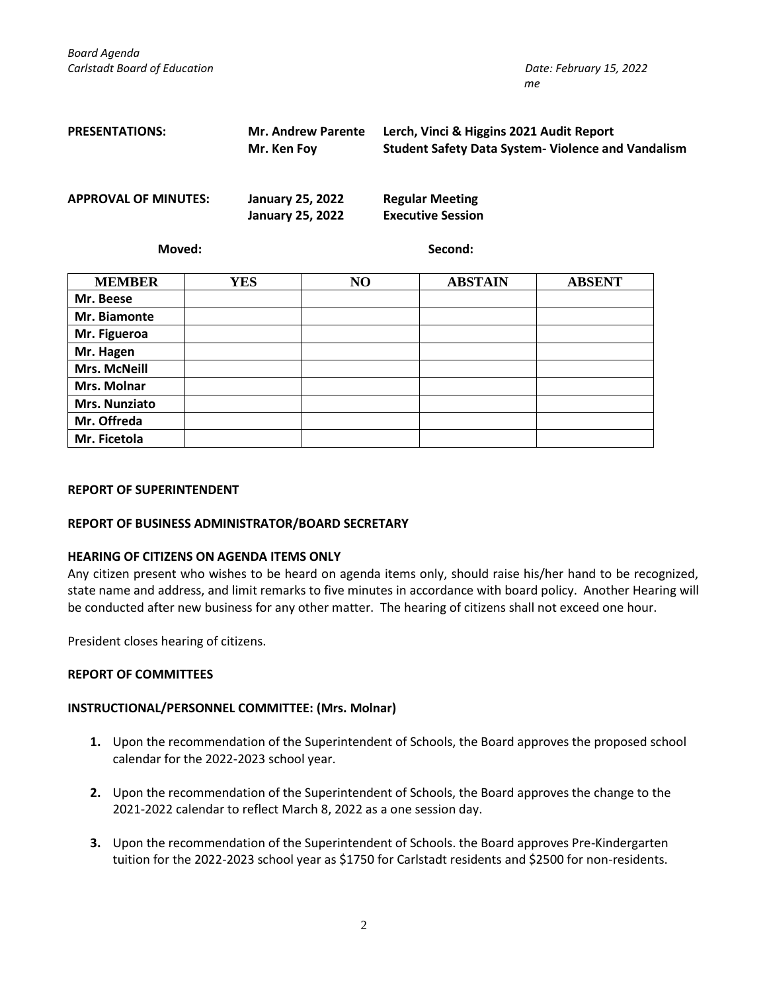*Board Agenda Carlstadt Board of Education Date: February 15, 2022*

| <b>PRESENTATIONS:</b>       | <b>Mr. Andrew Parente</b><br>Mr. Ken Foy           | Lerch, Vinci & Higgins 2021 Audit Report<br><b>Student Safety Data System- Violence and Vandalism</b> |
|-----------------------------|----------------------------------------------------|-------------------------------------------------------------------------------------------------------|
| <b>APPROVAL OF MINUTES:</b> | <b>January 25, 2022</b><br><b>January 25, 2022</b> | <b>Regular Meeting</b><br><b>Executive Session</b>                                                    |
| Moved:                      |                                                    | Second:                                                                                               |

| <b>MEMBER</b>       | <b>YES</b> | NO | <b>ABSTAIN</b> | <b>ABSENT</b> |
|---------------------|------------|----|----------------|---------------|
| Mr. Beese           |            |    |                |               |
| Mr. Biamonte        |            |    |                |               |
| Mr. Figueroa        |            |    |                |               |
| Mr. Hagen           |            |    |                |               |
| <b>Mrs. McNeill</b> |            |    |                |               |
| Mrs. Molnar         |            |    |                |               |
| Mrs. Nunziato       |            |    |                |               |
| Mr. Offreda         |            |    |                |               |
| Mr. Ficetola        |            |    |                |               |

#### **REPORT OF SUPERINTENDENT**

## **REPORT OF BUSINESS ADMINISTRATOR/BOARD SECRETARY**

## **HEARING OF CITIZENS ON AGENDA ITEMS ONLY**

Any citizen present who wishes to be heard on agenda items only, should raise his/her hand to be recognized, state name and address, and limit remarks to five minutes in accordance with board policy. Another Hearing will be conducted after new business for any other matter. The hearing of citizens shall not exceed one hour.

President closes hearing of citizens.

## **REPORT OF COMMITTEES**

## **INSTRUCTIONAL/PERSONNEL COMMITTEE: (Mrs. Molnar)**

- **1.** Upon the recommendation of the Superintendent of Schools, the Board approves the proposed school calendar for the 2022-2023 school year.
- **2.** Upon the recommendation of the Superintendent of Schools, the Board approves the change to the 2021-2022 calendar to reflect March 8, 2022 as a one session day.
- **3.** Upon the recommendation of the Superintendent of Schools. the Board approves Pre-Kindergarten tuition for the 2022-2023 school year as \$1750 for Carlstadt residents and \$2500 for non-residents.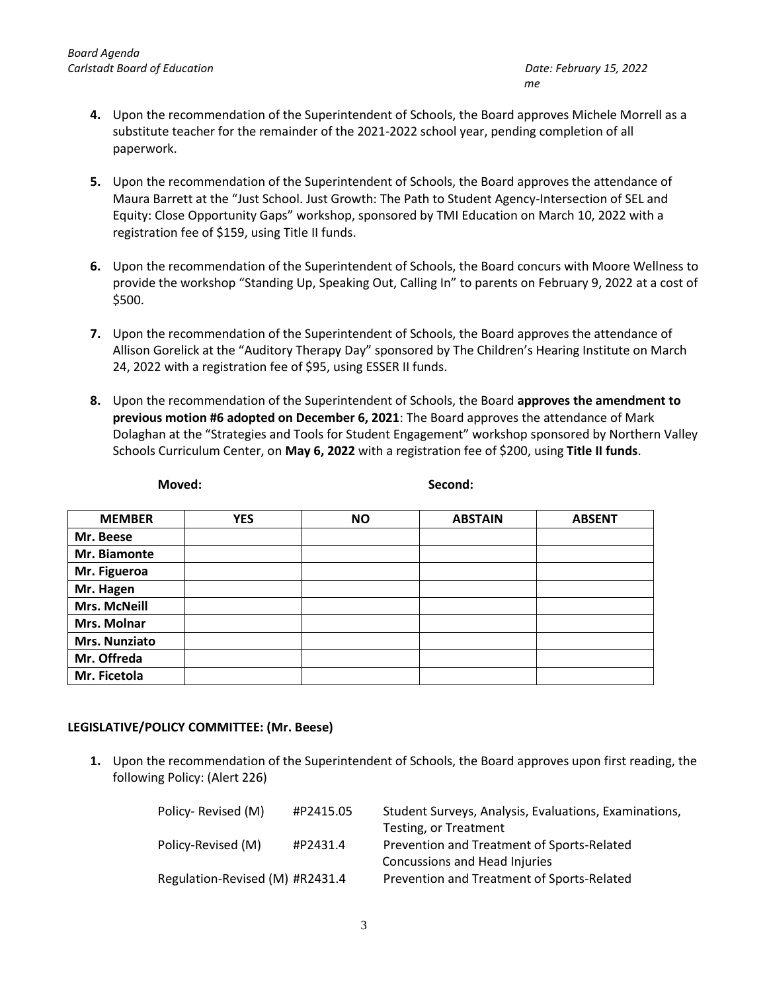- **4.** Upon the recommendation of the Superintendent of Schools, the Board approves Michele Morrell as a substitute teacher for the remainder of the 2021-2022 school year, pending completion of all paperwork.
- **5.** Upon the recommendation of the Superintendent of Schools, the Board approves the attendance of Maura Barrett at the "Just School. Just Growth: The Path to Student Agency-Intersection of SEL and Equity: Close Opportunity Gaps" workshop, sponsored by TMI Education on March 10, 2022 with a registration fee of \$159, using Title II funds.
- **6.** Upon the recommendation of the Superintendent of Schools, the Board concurs with Moore Wellness to provide the workshop "Standing Up, Speaking Out, Calling In" to parents on February 9, 2022 at a cost of \$500.
- **7.** Upon the recommendation of the Superintendent of Schools, the Board approves the attendance of Allison Gorelick at the "Auditory Therapy Day" sponsored by The Children's Hearing Institute on March 24, 2022 with a registration fee of \$95, using ESSER II funds.
- **8.** Upon the recommendation of the Superintendent of Schools, the Board **approves the amendment to previous motion #6 adopted on December 6, 2021**: The Board approves the attendance of Mark Dolaghan at the "Strategies and Tools for Student Engagement" workshop sponsored by Northern Valley Schools Curriculum Center, on **May 6, 2022** with a registration fee of \$200, using **Title II funds**.

| <b>MEMBER</b>       | <b>YES</b> | <b>NO</b> | <b>ABSTAIN</b> | <b>ABSENT</b> |
|---------------------|------------|-----------|----------------|---------------|
| Mr. Beese           |            |           |                |               |
| Mr. Biamonte        |            |           |                |               |
| Mr. Figueroa        |            |           |                |               |
| Mr. Hagen           |            |           |                |               |
| <b>Mrs. McNeill</b> |            |           |                |               |
| Mrs. Molnar         |            |           |                |               |
| Mrs. Nunziato       |            |           |                |               |
| Mr. Offreda         |            |           |                |               |
| Mr. Ficetola        |            |           |                |               |

**Moved: Second:**

## **LEGISLATIVE/POLICY COMMITTEE: (Mr. Beese)**

**1.** Upon the recommendation of the Superintendent of Schools, the Board approves upon first reading, the following Policy: (Alert 226)

| Policy-Revised (M)              | #P2415.05 | Student Surveys, Analysis, Evaluations, Examinations, |
|---------------------------------|-----------|-------------------------------------------------------|
|                                 |           | Testing, or Treatment                                 |
| Policy-Revised (M)              | #P2431.4  | Prevention and Treatment of Sports-Related            |
|                                 |           | Concussions and Head Injuries                         |
| Regulation-Revised (M) #R2431.4 |           | Prevention and Treatment of Sports-Related            |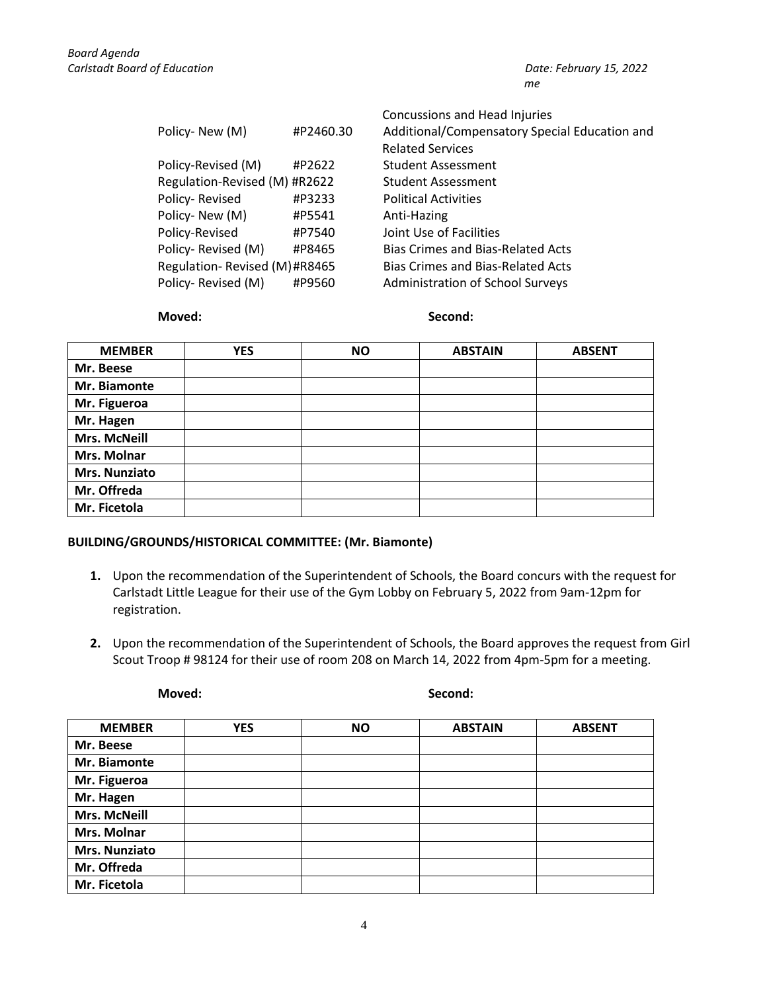|                               |           | Concussions and Head Injuries                 |
|-------------------------------|-----------|-----------------------------------------------|
| Policy-New (M)                | #P2460.30 | Additional/Compensatory Special Education and |
|                               |           | <b>Related Services</b>                       |
| Policy-Revised (M)            | #P2622    | <b>Student Assessment</b>                     |
| Regulation-Revised (M) #R2622 |           | <b>Student Assessment</b>                     |
| Policy-Revised                | #P3233    | <b>Political Activities</b>                   |
| Policy-New (M)                | #P5541    | Anti-Hazing                                   |
| Policy-Revised                | #P7540    | Joint Use of Facilities                       |
| Policy-Revised (M)            | #P8465    | Bias Crimes and Bias-Related Acts             |
| Regulation-Revised (M)#R8465  |           | <b>Bias Crimes and Bias-Related Acts</b>      |
| Policy-Revised (M)            | #P9560    | Administration of School Surveys              |

#### **Moved: Second:**

| <b>MEMBER</b>       | <b>YES</b> | <b>NO</b> | <b>ABSTAIN</b> | <b>ABSENT</b> |
|---------------------|------------|-----------|----------------|---------------|
| Mr. Beese           |            |           |                |               |
| Mr. Biamonte        |            |           |                |               |
| Mr. Figueroa        |            |           |                |               |
| Mr. Hagen           |            |           |                |               |
| <b>Mrs. McNeill</b> |            |           |                |               |
| Mrs. Molnar         |            |           |                |               |
| Mrs. Nunziato       |            |           |                |               |
| Mr. Offreda         |            |           |                |               |
| Mr. Ficetola        |            |           |                |               |

## **BUILDING/GROUNDS/HISTORICAL COMMITTEE: (Mr. Biamonte)**

- **1.** Upon the recommendation of the Superintendent of Schools, the Board concurs with the request for Carlstadt Little League for their use of the Gym Lobby on February 5, 2022 from 9am-12pm for registration.
- **2.** Upon the recommendation of the Superintendent of Schools, the Board approves the request from Girl Scout Troop # 98124 for their use of room 208 on March 14, 2022 from 4pm-5pm for a meeting.

**Moved: Second:**

| <b>MEMBER</b>       | <b>YES</b> | <b>NO</b> | <b>ABSTAIN</b> | <b>ABSENT</b> |
|---------------------|------------|-----------|----------------|---------------|
| Mr. Beese           |            |           |                |               |
| Mr. Biamonte        |            |           |                |               |
| Mr. Figueroa        |            |           |                |               |
| Mr. Hagen           |            |           |                |               |
| <b>Mrs. McNeill</b> |            |           |                |               |
| Mrs. Molnar         |            |           |                |               |
| Mrs. Nunziato       |            |           |                |               |
| Mr. Offreda         |            |           |                |               |
| Mr. Ficetola        |            |           |                |               |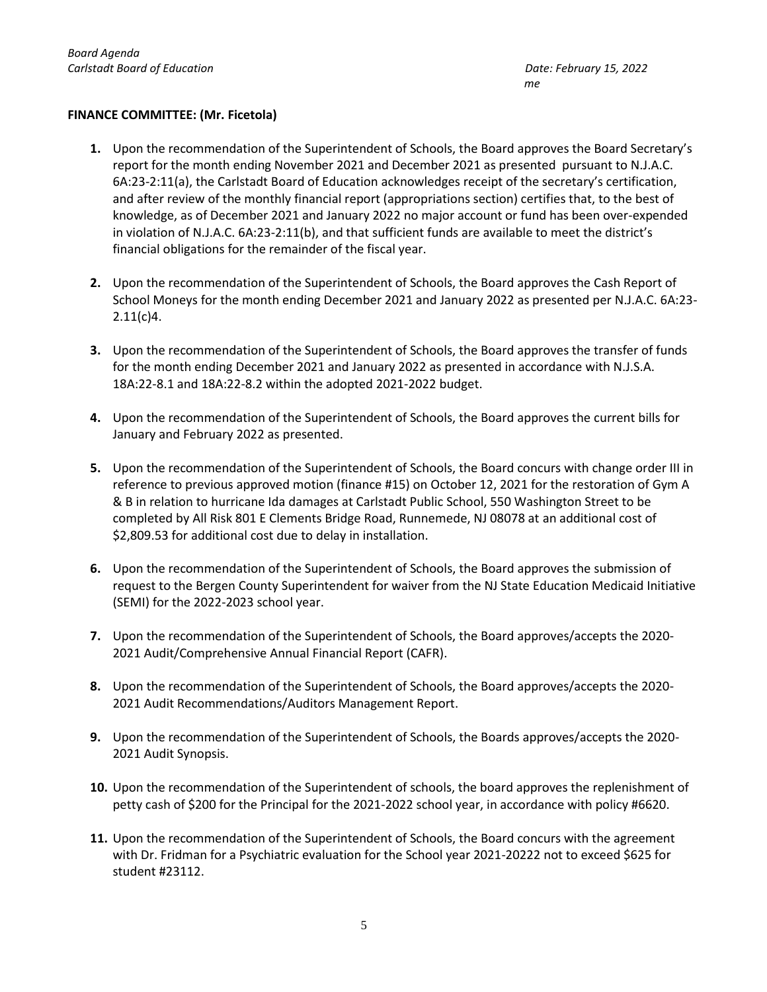## **FINANCE COMMITTEE: (Mr. Ficetola)**

- **1.** Upon the recommendation of the Superintendent of Schools, the Board approves the Board Secretary's report for the month ending November 2021 and December 2021 as presented pursuant to N.J.A.C. 6A:23-2:11(a), the Carlstadt Board of Education acknowledges receipt of the secretary's certification, and after review of the monthly financial report (appropriations section) certifies that, to the best of knowledge, as of December 2021 and January 2022 no major account or fund has been over-expended in violation of N.J.A.C. 6A:23-2:11(b), and that sufficient funds are available to meet the district's financial obligations for the remainder of the fiscal year.
- **2.** Upon the recommendation of the Superintendent of Schools, the Board approves the Cash Report of School Moneys for the month ending December 2021 and January 2022 as presented per N.J.A.C. 6A:23- 2.11(c)4.
- **3.** Upon the recommendation of the Superintendent of Schools, the Board approves the transfer of funds for the month ending December 2021 and January 2022 as presented in accordance with N.J.S.A. 18A:22-8.1 and 18A:22-8.2 within the adopted 2021-2022 budget.
- **4.** Upon the recommendation of the Superintendent of Schools, the Board approves the current bills for January and February 2022 as presented.
- **5.** Upon the recommendation of the Superintendent of Schools, the Board concurs with change order III in reference to previous approved motion (finance #15) on October 12, 2021 for the restoration of Gym A & B in relation to hurricane Ida damages at Carlstadt Public School, 550 Washington Street to be completed by All Risk 801 E Clements Bridge Road, Runnemede, NJ 08078 at an additional cost of \$2,809.53 for additional cost due to delay in installation.
- **6.** Upon the recommendation of the Superintendent of Schools, the Board approves the submission of request to the Bergen County Superintendent for waiver from the NJ State Education Medicaid Initiative (SEMI) for the 2022-2023 school year.
- **7.** Upon the recommendation of the Superintendent of Schools, the Board approves/accepts the 2020- 2021 Audit/Comprehensive Annual Financial Report (CAFR).
- **8.** Upon the recommendation of the Superintendent of Schools, the Board approves/accepts the 2020- 2021 Audit Recommendations/Auditors Management Report.
- **9.** Upon the recommendation of the Superintendent of Schools, the Boards approves/accepts the 2020- 2021 Audit Synopsis.
- **10.** Upon the recommendation of the Superintendent of schools, the board approves the replenishment of petty cash of \$200 for the Principal for the 2021-2022 school year, in accordance with policy #6620.
- **11.** Upon the recommendation of the Superintendent of Schools, the Board concurs with the agreement with Dr. Fridman for a Psychiatric evaluation for the School year 2021-20222 not to exceed \$625 for student #23112.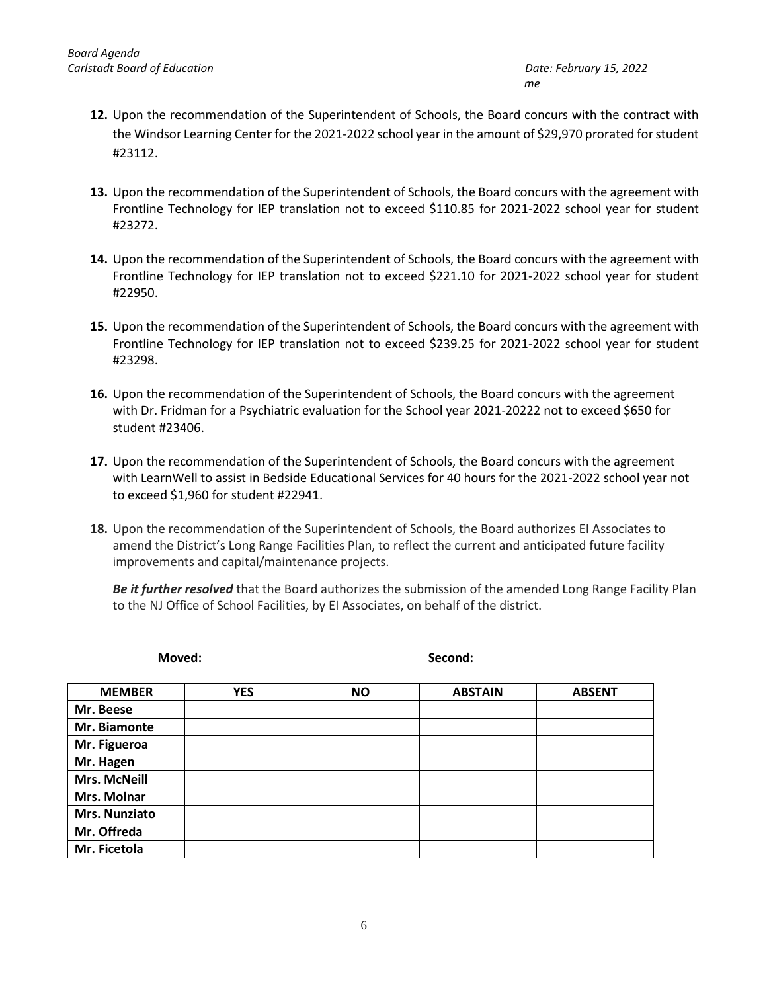- **12.** Upon the recommendation of the Superintendent of Schools, the Board concurs with the contract with the Windsor Learning Center for the 2021-2022 school year in the amount of \$29,970 prorated for student #23112.
- **13.** Upon the recommendation of the Superintendent of Schools, the Board concurs with the agreement with Frontline Technology for IEP translation not to exceed \$110.85 for 2021-2022 school year for student #23272.
- **14.** Upon the recommendation of the Superintendent of Schools, the Board concurs with the agreement with Frontline Technology for IEP translation not to exceed \$221.10 for 2021-2022 school year for student #22950.
- **15.** Upon the recommendation of the Superintendent of Schools, the Board concurs with the agreement with Frontline Technology for IEP translation not to exceed \$239.25 for 2021-2022 school year for student #23298.
- **16.** Upon the recommendation of the Superintendent of Schools, the Board concurs with the agreement with Dr. Fridman for a Psychiatric evaluation for the School year 2021-20222 not to exceed \$650 for student #23406.
- **17.** Upon the recommendation of the Superintendent of Schools, the Board concurs with the agreement with LearnWell to assist in Bedside Educational Services for 40 hours for the 2021-2022 school year not to exceed \$1,960 for student #22941.
- **18.** Upon the recommendation of the Superintendent of Schools, the Board authorizes EI Associates to amend the District's Long Range Facilities Plan, to reflect the current and anticipated future facility improvements and capital/maintenance projects.

*Be it further resolved* that the Board authorizes the submission of the amended Long Range Facility Plan to the NJ Office of School Facilities, by EI Associates, on behalf of the district.

| <b>YES</b> | <b>NO</b> | <b>ABSTAIN</b> | <b>ABSENT</b> |
|------------|-----------|----------------|---------------|
|            |           |                |               |
|            |           |                |               |
|            |           |                |               |
|            |           |                |               |
|            |           |                |               |
|            |           |                |               |
|            |           |                |               |
|            |           |                |               |
|            |           |                |               |
|            |           |                |               |

**Moved:** Second: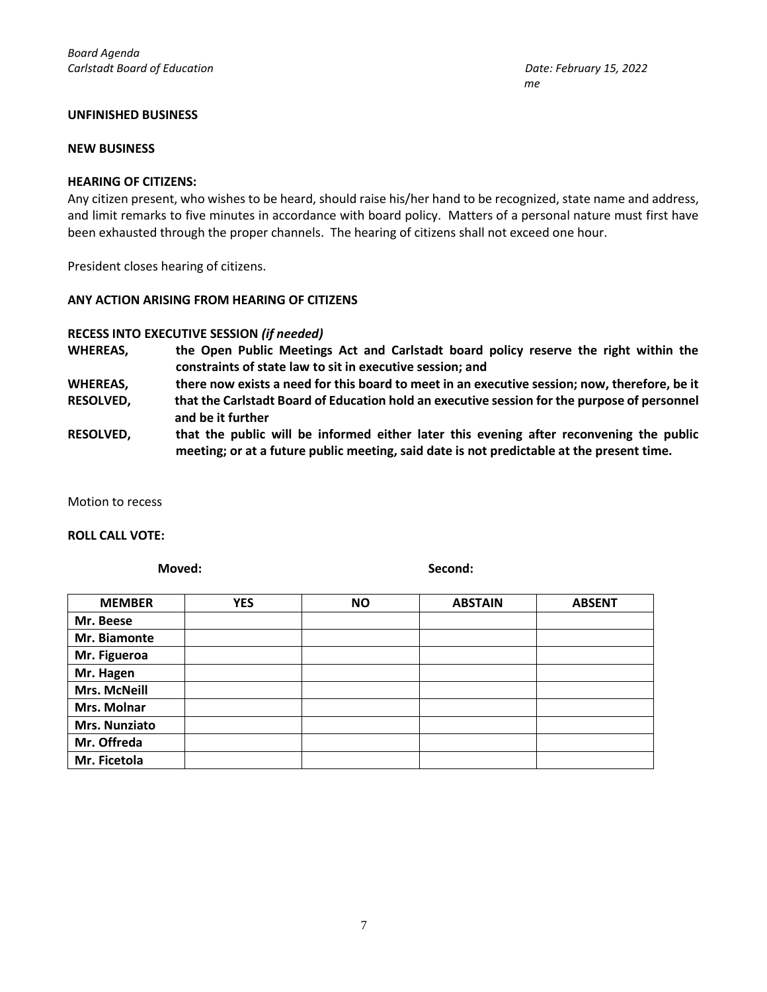### **UNFINISHED BUSINESS**

#### **NEW BUSINESS**

#### **HEARING OF CITIZENS:**

Any citizen present, who wishes to be heard, should raise his/her hand to be recognized, state name and address, and limit remarks to five minutes in accordance with board policy. Matters of a personal nature must first have been exhausted through the proper channels. The hearing of citizens shall not exceed one hour.

President closes hearing of citizens.

#### **ANY ACTION ARISING FROM HEARING OF CITIZENS**

**and be it further**

## **RECESS INTO EXECUTIVE SESSION** *(if needed)*

- **WHEREAS, the Open Public Meetings Act and Carlstadt board policy reserve the right within the constraints of state law to sit in executive session; and**
- **WHEREAS, there now exists a need for this board to meet in an executive session; now, therefore, be it RESOLVED, that the Carlstadt Board of Education hold an executive session for the purpose of personnel**
- **RESOLVED, that the public will be informed either later this evening after reconvening the public meeting; or at a future public meeting, said date is not predictable at the present time.**

Motion to recess

#### **ROLL CALL VOTE:**

**Moved:** Second:

| <b>MEMBER</b>       | <b>YES</b> | <b>NO</b> | <b>ABSTAIN</b> | <b>ABSENT</b> |
|---------------------|------------|-----------|----------------|---------------|
| Mr. Beese           |            |           |                |               |
| Mr. Biamonte        |            |           |                |               |
| Mr. Figueroa        |            |           |                |               |
| Mr. Hagen           |            |           |                |               |
| <b>Mrs. McNeill</b> |            |           |                |               |
| Mrs. Molnar         |            |           |                |               |
| Mrs. Nunziato       |            |           |                |               |
| Mr. Offreda         |            |           |                |               |
| Mr. Ficetola        |            |           |                |               |

 *me*